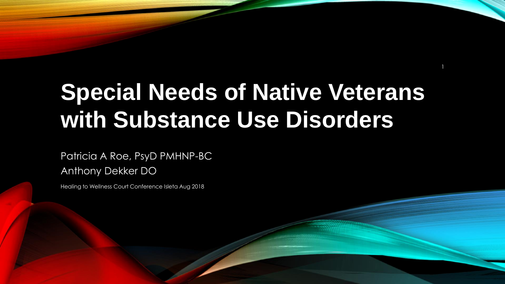# **Special Needs of Native Veterans with Substance Use Disorders**

1

Patricia A Roe, PsyD PMHNP-BC

Anthony Dekker DO

Healing to Wellness Court Conference Isleta Aug 2018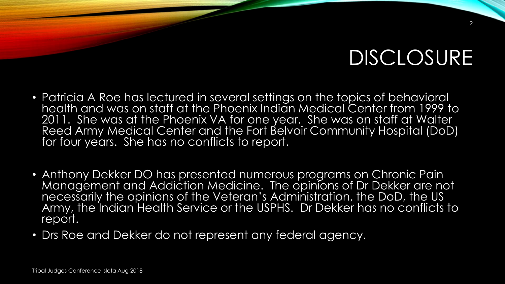## DISCLOSURE

- Patricia A Roe has lectured in several settings on the topics of behavioral health and was on staff at the Phoenix Indian Medical Center from 1999 to 2011. She was at the Phoenix VA for one year. She was on staff at Walter Reed Army Medical Center and the Fort Belvoir Community Hospital (DoD) for four years. She has no conflicts to report.
- Anthony Dekker DO has presented numerous programs on Chronic Pain Management and Addiction Medicine. The opinions of Dr Dekker are not necessarily the opinions of the Veteran's Administration, the DoD, the US Army, the Indian Health Service or the USPHS. Dr Dekker has no conflicts to report.
- Drs Roe and Dekker do not represent any federal agency.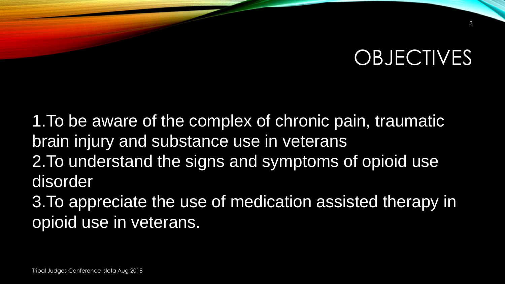## **OBJECTIVES**

1.To be aware of the complex of chronic pain, traumatic brain injury and substance use in veterans 2.To understand the signs and symptoms of opioid use disorder 3.To appreciate the use of medication assisted therapy in opioid use in veterans.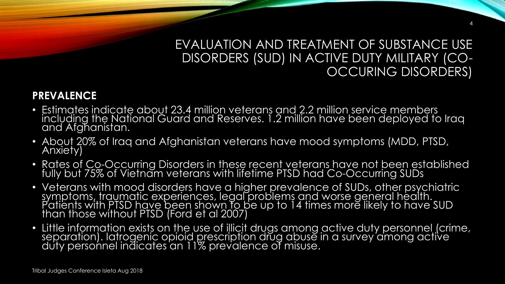### EVALUATION AND TREATMENT OF SUBSTANCE USE DISORDERS (SUD) IN ACTIVE DUTY MILITARY (CO-OCCURING DISORDERS)

4

### **PREVALENCE**

- Estimates indicate about 23.4 million veterans and 2.2 million service members including the National Guard and Reserves. 1.2 million have been deployed to Iraq and Afghanistan.
- About 20% of Iraq and Afghanistan veterans have mood symptoms (MDD, PTSD, Anxiety)
- Rates of Co-Occurring Disorders in these recent veterans have not been established fully but 75% of Vietnam veterans with lifetime PTSD had Co-Occurring SUDs
- Veterans with mood disorders have a higher prevalence of SUDs, other psychiatric symptoms, traumatic experiences, legal problems and worse general health. Patients with PTSD have been shown to be up to 14 times more likely to have SUD than those without PTSD (Ford et al 2007)
- Little information exists on the use of illicit drugs among active duty personnel (crime, separation). Iatrogenic opioid prescription drug abuse in a survey among active duty personnel indicates an 11% prevalence of misuse.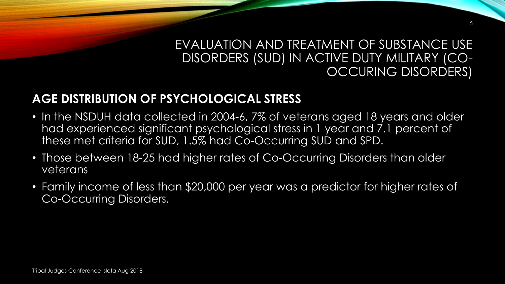### EVALUATION AND TREATMENT OF SUBSTANCE USE DISORDERS (SUD) IN ACTIVE DUTY MILITARY (CO-OCCURING DISORDERS)

5

### **AGE DISTRIBUTION OF PSYCHOLOGICAL STRESS**

- In the NSDUH data collected in 2004-6, 7% of veterans aged 18 years and older had experienced significant psychological stress in 1 year and 7.1 percent of these met criteria for SUD, 1.5% had Co-Occurring SUD and SPD.
- Those between 18-25 had higher rates of Co-Occurring Disorders than older veterans
- Family income of less than \$20,000 per year was a predictor for higher rates of Co-Occurring Disorders.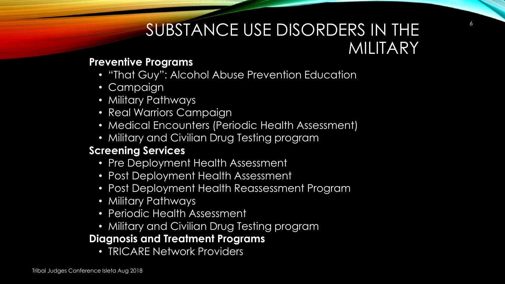## SUBSTANCE USE DISORDERS IN THE MILITARY

6

### **Preventive Programs**

- "That Guy": Alcohol Abuse Prevention Education
- Campaign
- Military Pathways
- Real Warriors Campaign
- Medical Encounters (Periodic Health Assessment)
- Military and Civilian Drug Testing program

### **Screening Services**

- Pre Deployment Health Assessment
- Post Deployment Health Assessment
- Post Deployment Health Reassessment Program
- Military Pathways
- Periodic Health Assessment
- Military and Civilian Drug Testing program

### **Diagnosis and Treatment Programs**

• TRICARE Network Providers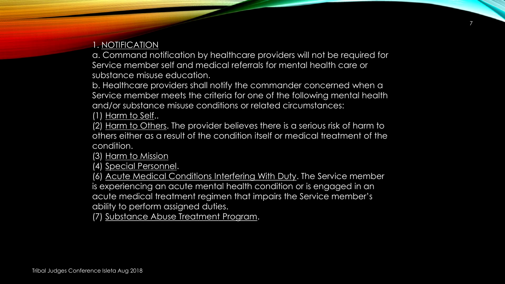### 1. NOTIFICATION

a. Command notification by healthcare providers will not be required for Service member self and medical referrals for mental health care or substance misuse education.

b. Healthcare providers shall notify the commander concerned when a Service member meets the criteria for one of the following mental health and/or substance misuse conditions or related circumstances:

(1) Harm to Self..

(2) Harm to Others. The provider believes there is a serious risk of harm to others either as a result of the condition itself or medical treatment of the condition.

(3) Harm to Mission

(4) Special Personnel.

(6) Acute Medical Conditions Interfering With Duty. The Service member is experiencing an acute mental health condition or is engaged in an acute medical treatment regimen that impairs the Service member's ability to perform assigned duties.

(7) Substance Abuse Treatment Program.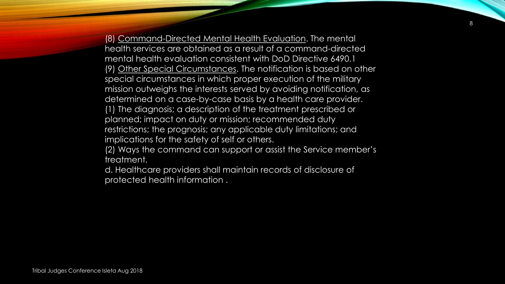(8) Command-Directed Mental Health Evaluation. The mental health services are obtained as a result of a command-directed mental health evaluation consistent with DoD Directive 6490.1 (9) Other Special Circumstances. The notification is based on other special circumstances in which proper execution of the military mission outweighs the interests served by avoiding notification, as determined on a case-by-case basis by a health care provider. (1) The diagnosis; a description of the treatment prescribed or planned; impact on duty or mission; recommended duty restrictions; the prognosis; any applicable duty limitations; and implications for the safety of self or others.

(2) Ways the command can support or assist the Service member's treatment.

d. Healthcare providers shall maintain records of disclosure of protected health information .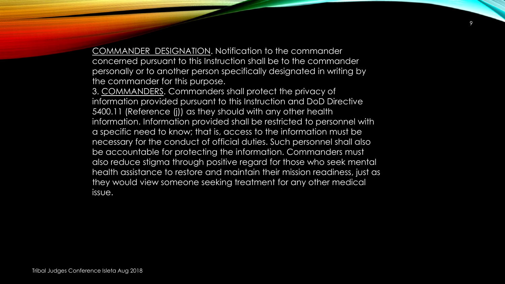COMMANDER DESIGNATION. Notification to the commander concerned pursuant to this Instruction shall be to the commander personally or to another person specifically designated in writing by the commander for this purpose.

3. COMMANDERS. Commanders shall protect the privacy of information provided pursuant to this Instruction and DoD Directive 5400.11 (Reference (j)) as they should with any other health information. Information provided shall be restricted to personnel with a specific need to know; that is, access to the information must be necessary for the conduct of official duties. Such personnel shall also be accountable for protecting the information. Commanders must also reduce stigma through positive regard for those who seek mental health assistance to restore and maintain their mission readiness, just as they would view someone seeking treatment for any other medical issue.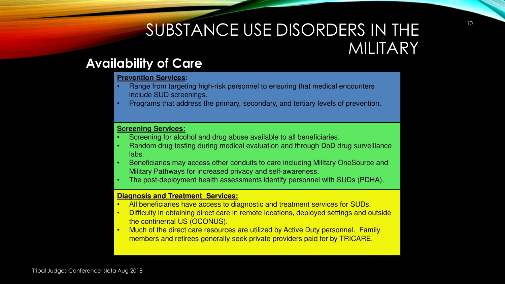## SUBSTANCE USE DISORDERS IN THE MILITARY

### **Availability of Care**

#### **Prevention Services:**

- Range from targeting high-risk personnel to ensuring that medical encounters include SUD screenings.
- Programs that address the primary, secondary, and tertiary levels of prevention.

#### **Screening Services:**

- Screening for alcohol and drug abuse available to all beneficiaries.
- Random drug testing during medical evaluation and through DoD drug surveillance labs.
- Beneficiaries may access other conduits to care including Military OneSource and Military Pathways for increased privacy and self-awareness.
- The post-deployment health assessments identify personnel with SUDs (PDHA).

#### **Diagnosis and Treatment Services:**

- All beneficiaries have access to diagnostic and treatment services for SUDs.
- Difficulty in obtaining direct care in remote locations, deployed settings and outside the continental US (OCONUS).
- Much of the direct care resources are utilized by Active Duty personnel. Family members and retirees generally seek private providers paid for by TRICARE.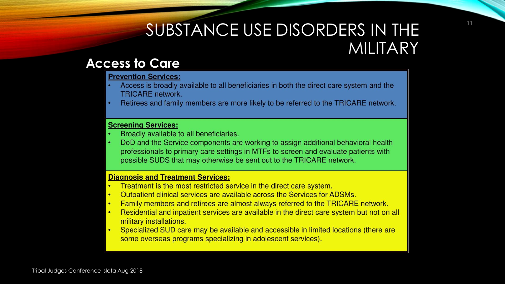## SUBSTANCE USE DISORDERS IN THE MILITARY

### **Access to Care**

#### **Prevention Services:**

- Access is broadly available to all beneficiaries in both the direct care system and the **TRICARE** network.
- Retirees and family members are more likely to be referred to the TRICARE network.

#### **Screening Services:**

- Broadly available to all beneficiaries.
- DoD and the Service components are working to assign additional behavioral health professionals to primary care settings in MTFs to screen and evaluate patients with possible SUDS that may otherwise be sent out to the TRICARE network.

#### **Diagnosis and Treatment Services:**

- Treatment is the most restricted service in the direct care system.
- Outpatient clinical services are available across the Services for ADSMs.
- Family members and retirees are almost always referred to the TRICARE network.
- Residential and inpatient services are available in the direct care system but not on all  $\bullet$ military installations.
- Specialized SUD care may be available and accessible in limited locations (there are some overseas programs specializing in adolescent services).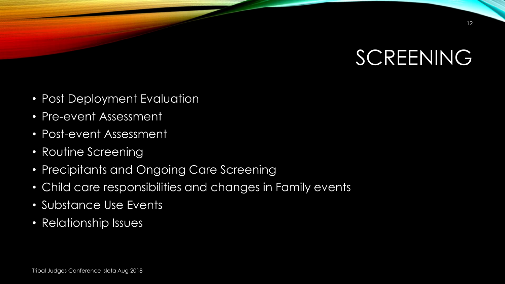

- Post Deployment Evaluation
- Pre-event Assessment
- Post-event Assessment
- Routine Screening
- Precipitants and Ongoing Care Screening
- Child care responsibilities and changes in Family events
- Substance Use Events
- Relationship Issues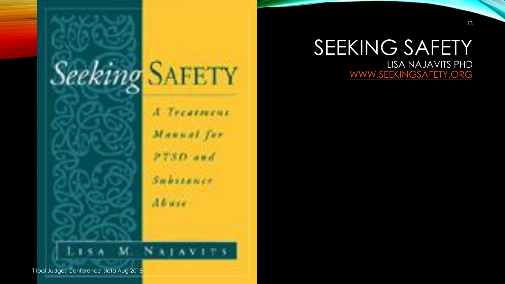

A Treatment Maunal for PTSD and Substance Abuse.

## SEEKING SAFETY LISA NAJAVITS PHD

[WWW.SEEKINGSAFETY.ORG](http://www.seekingsafety.org/)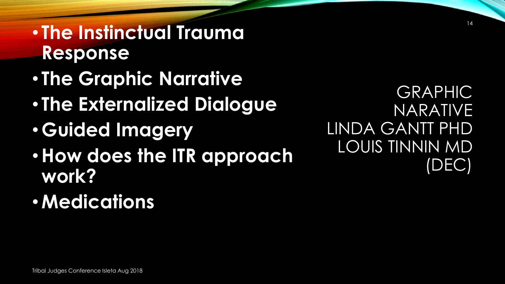**Response** • **The Graphic Narrative** • **The Externalized Dialogue** • **Guided Imagery** •**How does the ITR approach work?** •**Medications**

• **The Instinctual Trauma** 

GRAPHIC NARATIVE LINDA GANTT PHD LOUIS TINNIN MD (DEC)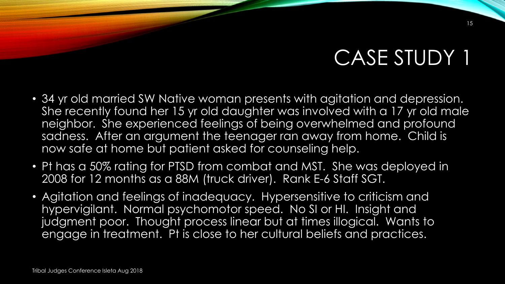## CASE STUDY 1

- 34 yr old married SW Native woman presents with agitation and depression. She recently found her 15 yr old daughter was involved with a 17 yr old male neighbor. She experienced feelings of being overwhelmed and profound sadness. After an argument the teenager ran away from home. Child is now safe at home but patient asked for counseling help.
- Pt has a 50% rating for PTSD from combat and MST. She was deployed in 2008 for 12 months as a 88M (truck driver). Rank E-6 Staff SGT.
- Agitation and feelings of inadequacy. Hypersensitive to criticism and hypervigilant. Normal psychomotor speed. No SI or HI. Insight and judgment poor. Thought process linear but at times illogical. Wants to engage in treatment. Pt is close to her cultural beliefs and practices.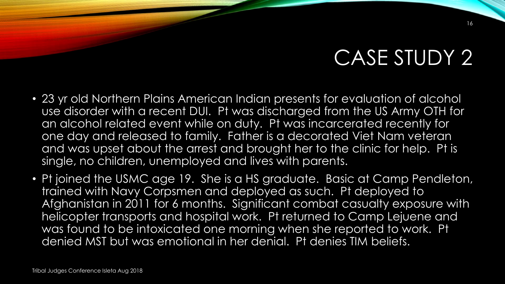## CASE STUDY 2

- 23 yr old Northern Plains American Indian presents for evaluation of alcohol use disorder with a recent DUI. Pt was discharged from the US Army OTH for an alcohol related event while on duty. Pt was incarcerated recently for one day and released to family. Father is a decorated Viet Nam veteran and was upset about the arrest and brought her to the clinic for help. Pt is single, no children, unemployed and lives with parents.
- Pt joined the USMC age 19. She is a HS graduate. Basic at Camp Pendleton, trained with Navy Corpsmen and deployed as such. Pt deployed to Afghanistan in 2011 for 6 months. Significant combat casualty exposure with helicopter transports and hospital work. Pt returned to Camp Lejuene and was found to be intoxicated one morning when she reported to work. Pt denied MST but was emotional in her denial. Pt denies TIM beliefs.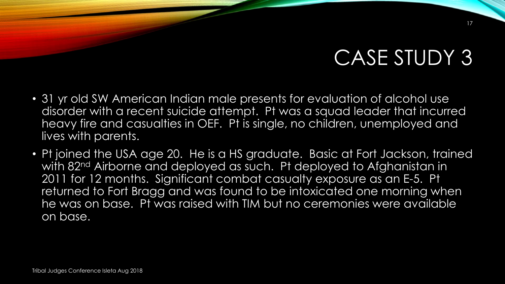## CASE STUDY 3

- 31 yr old SW American Indian male presents for evaluation of alcohol use disorder with a recent suicide attempt. Pt was a squad leader that incurred heavy fire and casualties in OEF. Pt is single, no children, unemployed and lives with parents.
- Pt joined the USA age 20. He is a HS graduate. Basic at Fort Jackson, trained with 82<sup>nd</sup> Airborne and deployed as such. Pt deployed to Afghanistan in 2011 for 12 months. Significant combat casualty exposure as an E-5. Pt returned to Fort Bragg and was found to be intoxicated one morning when he was on base. Pt was raised with TIM but no ceremonies were available on base.